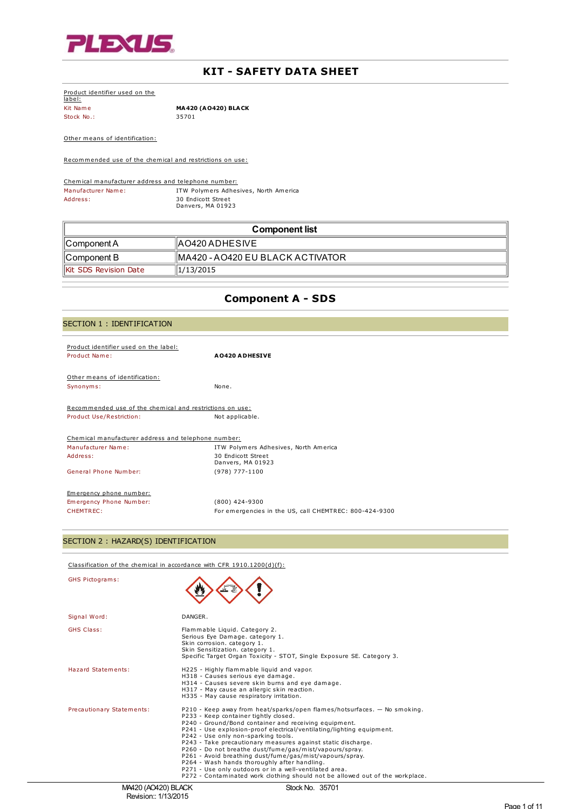

# **KIT - SAFETY DATA SHEET**

| Product identifier used on the |                            |
|--------------------------------|----------------------------|
| label:                         |                            |
| Kit Name                       | <b>MA420 (AO420) BLACK</b> |
| Stock No.:                     | 35701                      |

Other means of identification:

Recommended use of the chemical and restrictions on use:

Chemical manufacturer address and telephone number: Manufacturer Name: ITW Polymers Adhesives, North America Address: 30 Endicott Street Danvers, MA 01923

| Component list        |                                   |
|-----------------------|-----------------------------------|
| ∥Component A          | <b>IAO420 ADHESIVE</b>            |
| ∥Component B          | IMA420 - AO420 EU BLACK ACTIVATOR |
| Kit SDS Revision Date | 1/13/2015                         |

# **Component A - SDS**

| SECTION 1 : IDENTIFICATION                               |                                                        |  |
|----------------------------------------------------------|--------------------------------------------------------|--|
| Product identifier used on the label:                    |                                                        |  |
| Product Name:                                            | <b>A0420 ADHESIVE</b>                                  |  |
| Other means of identification:                           |                                                        |  |
| Synonyms:                                                | None.                                                  |  |
| Recommended use of the chemical and restrictions on use: |                                                        |  |
| Product Use/Restriction:                                 | Not applicable.                                        |  |
| Chemical manufacturer address and telephone number:      |                                                        |  |
| Manufacturer Name:                                       | ITW Polymers Adhesives, North America                  |  |
| Address:                                                 | 30 Endicott Street<br>Danvers, MA 01923                |  |
| General Phone Number:                                    | $(978) 777 - 1100$                                     |  |
| Emergency phone number:                                  |                                                        |  |
| Emergency Phone Number:                                  | $(800)$ 424-9300                                       |  |
| CHEMTREC:                                                | For emergencies in the US, call CHEMTREC: 800-424-9300 |  |

# SECTION 2 : HAZARD(S) IDENTIFICATION

Classification of the chemical in accordance with CFR 1910.1200(d)(f):

| <b>GHS Pictograms:</b>    |                                                                                                                                                                                                                                                                                                                                                                                                                                                                                                                                                                                                                                                                              |
|---------------------------|------------------------------------------------------------------------------------------------------------------------------------------------------------------------------------------------------------------------------------------------------------------------------------------------------------------------------------------------------------------------------------------------------------------------------------------------------------------------------------------------------------------------------------------------------------------------------------------------------------------------------------------------------------------------------|
| Signal Word:              | DANGER.                                                                                                                                                                                                                                                                                                                                                                                                                                                                                                                                                                                                                                                                      |
| <b>GHS Class:</b>         | Flammable Liquid. Category 2.<br>Serious Eye Damage. category 1.<br>Skin corrosion. category 1.<br>Skin Sensitization. category 1.<br>Specific Target Organ Toxicity - STOT, Single Exposure SE. Category 3.                                                                                                                                                                                                                                                                                                                                                                                                                                                                 |
| Hazard Statements:        | H225 - Highly flammable liquid and vapor.<br>H318 - Causes serious eye damage.<br>H314 - Causes severe skin burns and eye damage.<br>H317 - May cause an allergic skin reaction.<br>H335 - May cause respiratory irritation.                                                                                                                                                                                                                                                                                                                                                                                                                                                 |
| Precautionary Statements: | P210 - Keep away from heat/sparks/open flames/hotsurfaces. - No smoking.<br>P233 - Keep container tightly closed.<br>P240 - Ground/Bond container and receiving equipment.<br>P241 - Use explosion-proof electrical/ventilating/lighting equipment.<br>P242 - Use only non-sparking tools.<br>P243 - Take precautionary measures against static discharge.<br>P260 - Do not breathe dust/fume/gas/mist/vapours/spray.<br>P261 - Avoid breathing dust/fume/gas/mist/vapours/spray.<br>P264 - Wash hands thoroughly after handling.<br>P271 - Use only outdoors or in a well-ventilated area.<br>P272 - Contaminated work clothing should not be allowed out of the workplace. |
| M4420 (AO420) BLACK       | Stock No. 35701                                                                                                                                                                                                                                                                                                                                                                                                                                                                                                                                                                                                                                                              |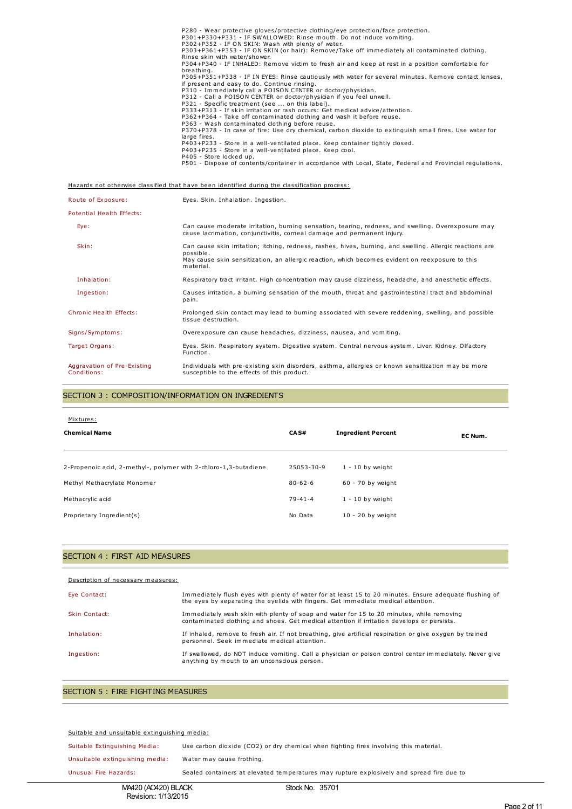| P280 - Wear protective gloves/protective clothing/eye protection/face protection.                                                                    |
|------------------------------------------------------------------------------------------------------------------------------------------------------|
| P301+P330+P331 - IF SWALLOWED: Rinse mouth. Do not induce vomiting.                                                                                  |
| P302+P352 - IF ON SKIN: Wash with plenty of water.                                                                                                   |
| P303+P361+P353 - IF ON SKIN (or hair): Remove/Take off immediately all contaminated clothing.                                                        |
| Rinse skin with water/shower.                                                                                                                        |
| P304+P340 - IF INHALED: Remove victim to fresh air and keep at rest in a position comfortable for<br>breathing.                                      |
| P305+P351+P338 - IF IN EYES: Rinse cautiously with water for several minutes. Remove contact lenses,<br>if present and easy to do. Continue rinsing. |
| P310 - Immediately call a POISON CENTER or doctor/physician.                                                                                         |
| P312 - Call a POISON CENTER or doctor/physician if you feel unwell.                                                                                  |
| P321 - Specific treatment (see  on this label).                                                                                                      |
| P333+P313 - If skin irritation or rash occurs: Get medical advice/attention.                                                                         |
| P362+P364 - Take off contaminated clothing and wash it before reuse.                                                                                 |
| P363 - Wash contaminated clothing before reuse.                                                                                                      |
| P370+P378 - In case of fire: Use dry chemical, carbon dioxide to extinguish small fires. Use water for<br>large fires.                               |
| P403+P233 - Store in a well-ventilated place. Keep container tightly closed.                                                                         |
| P403+P235 - Store in a well-ventilated place. Keep cool.                                                                                             |
| P405 - Store locked up.                                                                                                                              |
| P501 - Dispose of contents/container in accordance with Local, State, Federal and Provincial regulations.                                            |
|                                                                                                                                                      |
|                                                                                                                                                      |

Hazards not otherwise classified that have been identified during the classification process:

| Route of Exposure:                         | Eyes. Skin. Inhalation. Ingestion.                                                                                                                                                                                                     |
|--------------------------------------------|----------------------------------------------------------------------------------------------------------------------------------------------------------------------------------------------------------------------------------------|
| Potential Health Effects:                  |                                                                                                                                                                                                                                        |
| Eye:                                       | Can cause moderate irritation, burning sensation, tearing, redness, and swelling. Overexposure may<br>cause lacrimation, conjunctivitis, corneal damage and permanent injury.                                                          |
| Skin:                                      | Can cause skin irritation; itching, redness, rashes, hives, burning, and swelling. Allergic reactions are<br>possible.<br>May cause skin sensitization, an allergic reaction, which becomes evident on reexposure to this<br>material. |
| Inhalation:                                | Respiratory tract irritant. High concentration may cause dizziness, headache, and anesthetic effects.                                                                                                                                  |
| Ingestion:                                 | Causes irritation, a burning sensation of the mouth, throat and gastrointestinal tract and abdominal<br>pain.                                                                                                                          |
| <b>Chronic Health Effects:</b>             | Prolonged skin contact may lead to burning associated with severe reddening, swelling, and possible<br>tissue destruction.                                                                                                             |
| Signs/Symptoms:                            | Overexposure can cause headaches, dizziness, nausea, and vomiting.                                                                                                                                                                     |
| Target Organs:                             | Eyes. Skin. Respiratory system. Digestive system. Central nervous system. Liver. Kidney. Olfactory<br>Function.                                                                                                                        |
| Aggravation of Pre-Existing<br>Conditions: | Individuals with pre-existing skin disorders, asthma, allergies or known sensitization may be more<br>susceptible to the effects of this product.                                                                                      |

## SECTION 3 : COMPOSITION/INFORMATION ON INGREDIENTS

| Mixtures:<br><b>Chemical Name</b>                                | CAS#          | <b>Ingredient Percent</b> | EC Num. |
|------------------------------------------------------------------|---------------|---------------------------|---------|
| 2-Propenoic acid, 2-methyl-, polymer with 2-chloro-1,3-butadiene | 25053-30-9    | $1 - 10$ by weight        |         |
| Methyl Methacrylate Monomer                                      | $80 - 62 - 6$ | 60 - 70 by weight         |         |
| Methacrylic acid                                                 | $79 - 41 - 4$ | $1 - 10$ by weight        |         |
| Proprietary Ingredient(s)                                        | No Data       | $10 - 20$ by weight       |         |

### SECTION 4 : FIRST AID MEASURES

| Description of necessary measures: |                                                                                                                                                                                             |
|------------------------------------|---------------------------------------------------------------------------------------------------------------------------------------------------------------------------------------------|
| Eye Contact:                       | Immediately flush eyes with plenty of water for at least 15 to 20 minutes. Ensure adequate flushing of<br>the eyes by separating the eyelids with fingers. Get immediate medical attention. |
| Skin Contact:                      | Immediately wash skin with plenty of soap and water for 15 to 20 minutes, while removing<br>contaminated clothing and shoes. Get medical attention if irritation develops or persists.      |
| Inhalation:                        | If inhaled, remove to fresh air. If not breathing, give artificial respiration or give oxygen by trained<br>personnel. Seek immediate medical attention.                                    |
| Ingestion:                         | If swallowed, do NOT induce vomiting. Call a physician or poison control center immediately. Never give<br>anything by mouth to an unconscious person.                                      |

# SECTION 5 : FIRE FIGHTING MEASURES

#### Suitable and unsuitable extinguishing media:

Suitable Extinguishing Media: Use carbon dioxide (CO2) or dry chemical when fighting fires involving this material.

Unsuitable extinguishing media: Water may cause frothing.

Unusual Fire Hazards: Sealed containers at elevated temperatures may rupture explosively and spread fire due to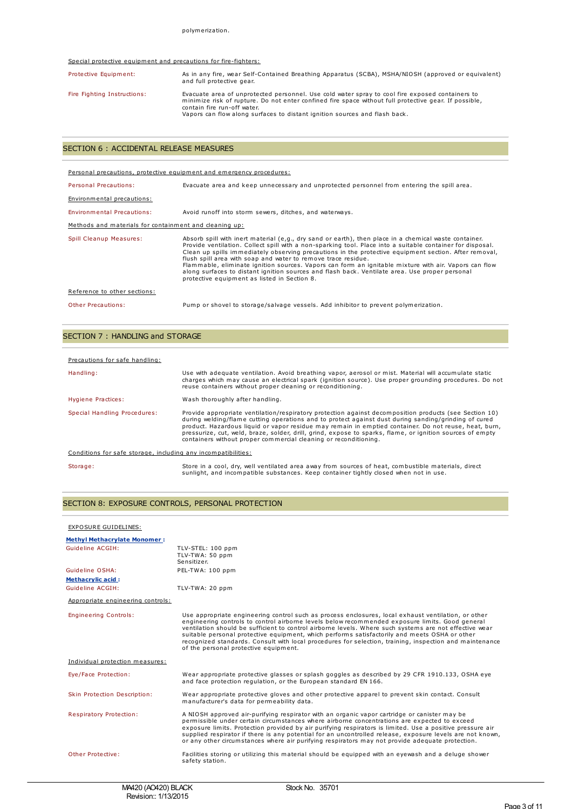#### Special protective equipment and precautions for fire-fighters:

| Protective Equipment:       | As in any fire, wear Self-Contained Breathing Apparatus (SCBA), MSHA/NIOSH (approved or equivalent)<br>and full protective gear.                                                                                                                                                                                      |
|-----------------------------|-----------------------------------------------------------------------------------------------------------------------------------------------------------------------------------------------------------------------------------------------------------------------------------------------------------------------|
| Fire Fighting Instructions: | Evacuate area of unprotected personnel. Use cold water spray to cool fire exposed containers to<br>minimize risk of rupture. Do not enter confined fire space without full protective gear. If possible,<br>contain fire run-off water.<br>Vapors can flow along surfaces to distant ignition sources and flash back. |

### SECTION 6 : ACCIDENTAL RELEASE MEASURES

| Personal precautions, protective equipment and emergency procedures: |                                                                                                                                                                                                                                                                                                                                                                                                                                                                                                                                                                                                                                                          |  |
|----------------------------------------------------------------------|----------------------------------------------------------------------------------------------------------------------------------------------------------------------------------------------------------------------------------------------------------------------------------------------------------------------------------------------------------------------------------------------------------------------------------------------------------------------------------------------------------------------------------------------------------------------------------------------------------------------------------------------------------|--|
| Personal Precautions:                                                | Evacuate area and keep unnecessary and unprotected personnel from entering the spill area.                                                                                                                                                                                                                                                                                                                                                                                                                                                                                                                                                               |  |
| Environmental precautions:                                           |                                                                                                                                                                                                                                                                                                                                                                                                                                                                                                                                                                                                                                                          |  |
| <b>Environmental Precautions:</b>                                    | Avoid runoff into storm sewers, ditches, and waterways.                                                                                                                                                                                                                                                                                                                                                                                                                                                                                                                                                                                                  |  |
| Methods and materials for containment and cleaning up:               |                                                                                                                                                                                                                                                                                                                                                                                                                                                                                                                                                                                                                                                          |  |
| Spill Cleanup Measures:                                              | Absorb spill with inert material (e,g., dry sand or earth), then place in a chemical waste container.<br>Provide ventilation. Collect spill with a non-sparking tool. Place into a suitable container for disposal.<br>Clean up spills immediately observing precautions in the protective equipment section. After removal,<br>flush spill area with soap and water to remove trace residue.<br>Flammable, eliminate ignition sources. Vapors can form an ignitable mixture with air. Vapors can flow<br>along surfaces to distant ignition sources and flash back. Ventilate area. Use proper personal<br>protective equipment as listed in Section 8. |  |
| Reference to other sections:                                         |                                                                                                                                                                                                                                                                                                                                                                                                                                                                                                                                                                                                                                                          |  |
| Other Precautions:                                                   | Pump or shovel to storage/salvage vessels. Add inhibitor to prevent polymerization.                                                                                                                                                                                                                                                                                                                                                                                                                                                                                                                                                                      |  |

# SECTION 7 : HANDLING and STORAGE

| Precautions for safe handling:                                |                                                                                                                                                                                                                                                                                                                                                                                                                                                                                                          |  |
|---------------------------------------------------------------|----------------------------------------------------------------------------------------------------------------------------------------------------------------------------------------------------------------------------------------------------------------------------------------------------------------------------------------------------------------------------------------------------------------------------------------------------------------------------------------------------------|--|
| Handling:                                                     | Use with adequate ventilation. Avoid breathing vapor, aerosol or mist. Material will accumulate static<br>charges which may cause an electrical spark (ignition source). Use proper grounding procedures. Do not<br>reuse containers without proper cleaning or reconditioning.                                                                                                                                                                                                                          |  |
| Hygiene Practices:                                            | Wash thoroughly after handling.                                                                                                                                                                                                                                                                                                                                                                                                                                                                          |  |
| Special Handling Procedures:                                  | Provide appropriate ventilation/respiratory protection against decomposition products (see Section 10)<br>during welding/flame cutting operations and to protect against dust during sanding/grinding of cured<br>product. Hazardous liquid or vapor residue may remain in emptied container. Do not reuse, heat, burn,<br>pressurize, cut, weld, braze, solder, drill, grind, expose to sparks, flame, or ignition sources of empty<br>containers without proper commercial cleaning or reconditioning. |  |
| Conditions for safe storage, including any incompatibilities: |                                                                                                                                                                                                                                                                                                                                                                                                                                                                                                          |  |
| Storage:                                                      | Store in a cool, dry, well ventilated area away from sources of heat, combustible materials, direct<br>sunlight, and incompatible substances. Keep container tightly closed when not in use.                                                                                                                                                                                                                                                                                                             |  |

# SECTION 8: EXPOSURE CONTROLS, PERSONAL PROTECTION

#### EXPOSURE GUIDELINES:

| <b>Methyl Methacrylate Monomer:</b> |                                                                                                                                                                                                                                                                                                                                                                                                                                                                                                                                                                       |
|-------------------------------------|-----------------------------------------------------------------------------------------------------------------------------------------------------------------------------------------------------------------------------------------------------------------------------------------------------------------------------------------------------------------------------------------------------------------------------------------------------------------------------------------------------------------------------------------------------------------------|
| Guideline ACGIH:                    | TLV-STEL: 100 ppm<br>TLV-TWA: 50 ppm<br>Sensitizer.                                                                                                                                                                                                                                                                                                                                                                                                                                                                                                                   |
| Guideline OSHA:                     | PEL-TWA: 100 ppm                                                                                                                                                                                                                                                                                                                                                                                                                                                                                                                                                      |
| <b>Methacrylic acid:</b>            |                                                                                                                                                                                                                                                                                                                                                                                                                                                                                                                                                                       |
| Guideline ACGIH:                    | TLV-TWA: 20 ppm                                                                                                                                                                                                                                                                                                                                                                                                                                                                                                                                                       |
| Appropriate engineering controls:   |                                                                                                                                                                                                                                                                                                                                                                                                                                                                                                                                                                       |
| <b>Engineering Controls:</b>        | Use appropriate engineering control such as process enclosures, local exhaust ventilation, or other<br>engineering controls to control airborne levels below recommended exposure limits. Good general<br>ventilation should be sufficient to control airborne levels. Where such systems are not effective wear<br>suitable personal protective equipment, which performs satisfactorily and meets OSHA or other<br>recognized standards. Consult with local procedures for selection, training, inspection and maintenance<br>of the personal protective equipment. |
| Individual protection measures:     |                                                                                                                                                                                                                                                                                                                                                                                                                                                                                                                                                                       |
| Eye/Face Protection:                | Wear appropriate protective glasses or splash goggles as described by 29 CFR 1910.133, OSHA eye<br>and face protection regulation, or the European standard EN 166.                                                                                                                                                                                                                                                                                                                                                                                                   |
| Skin Protection Description:        | Wear appropriate protective gloves and other protective apparel to prevent skin contact. Consult<br>manufacturer's data for permeability data.                                                                                                                                                                                                                                                                                                                                                                                                                        |
| <b>Respiratory Protection:</b>      | A NIOSH approved air-purifying respirator with an organic vapor cartridge or canister may be<br>permissible under certain circumstances where airborne concentrations are expected to exceed<br>exposure limits. Protection provided by air purifying respirators is limited. Use a positive pressure air<br>supplied respirator if there is any potential for an uncontrolled release, exposure levels are not known,<br>or any other circumstances where air purifying respirators may not provide adequate protection.                                             |
| Other Protective:                   | Facilities storing or utilizing this material should be equipped with an eyewash and a deluge shower<br>safety station.                                                                                                                                                                                                                                                                                                                                                                                                                                               |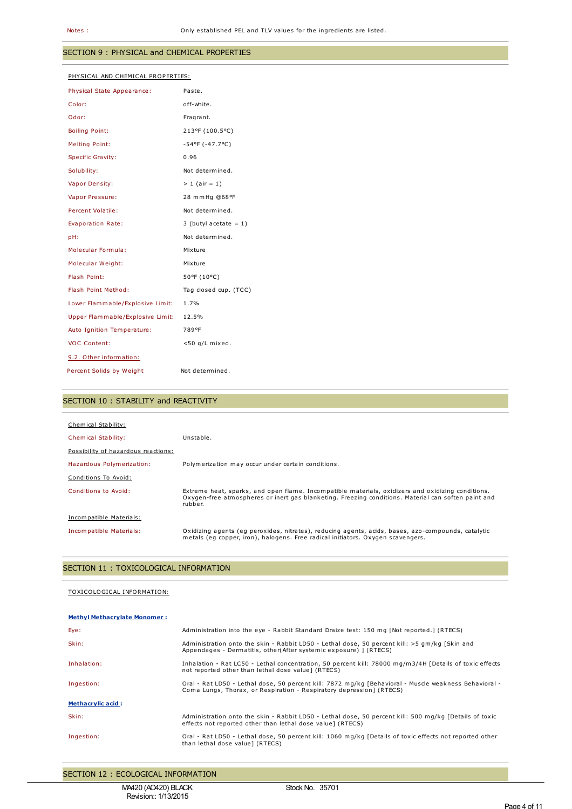## SECTION 9 : PHYSICAL and CHEMICAL PROPERTIES

| PHYSICAL AND CHEMICAL PROPERTIES: |                          |  |
|-----------------------------------|--------------------------|--|
| Physical State Appearance:        | Paste.                   |  |
| Color:                            | off-white.               |  |
| Odor:                             | Fragrant.                |  |
| <b>Boiling Point:</b>             | 213°F (100.5°C)          |  |
| Melting Point:                    | $-54$ °F (-47.7°C)       |  |
| <b>Specific Gravity:</b>          | 0.96                     |  |
| Solubility:                       | Not determined.          |  |
| Vapor Density:                    | $> 1$ (air = 1)          |  |
| Vapor Pressure:                   | 28 mmHg @68°F            |  |
| Percent Volatile:                 | Not determined.          |  |
| Evaporation Rate:                 | 3 (butyl acetate = $1$ ) |  |
| pH:                               | Not determined.          |  |
| Molecular Formula:                | Mixture                  |  |
| Molecular Weight:                 | Mixture                  |  |
| Flash Point:                      | 50°F (10°C)              |  |
| Flash Point Method:               | Tag closed cup. (TCC)    |  |
| Lower Flammable/Explosive Limit:  | 1.7%                     |  |
| Upper Flammable/Explosive Limit:  | 12.5%                    |  |
| Auto Ignition Temperature:        | 789°F                    |  |
| <b>VOC Content:</b>               | $<$ 50 g/L mixed.        |  |
| 9.2. Other information:           |                          |  |
| Percent Solids by Weight          | Not determined.          |  |

## SECTION 10 : STABILITY and REACTIVITY

| Chemical Stability:                 |                                                                                                                                                                                                                     |
|-------------------------------------|---------------------------------------------------------------------------------------------------------------------------------------------------------------------------------------------------------------------|
| <b>Chemical Stability:</b>          | Unstable.                                                                                                                                                                                                           |
| Possibility of hazardous reactions: |                                                                                                                                                                                                                     |
| Hazardous Polymerization:           | Polymerization may occur under certain conditions.                                                                                                                                                                  |
| Conditions To Avoid:                |                                                                                                                                                                                                                     |
| Conditions to Avoid:                | Extreme heat, sparks, and open flame. Incompatible materials, oxidizers and oxidizing conditions.<br>Oxygen-free atmospheres or inert gas blanketing. Freezing conditions. Material can soften paint and<br>rubber. |
| Incompatible Materials:             |                                                                                                                                                                                                                     |
| Incompatible Materials:             | Oxidizing agents (eg peroxides, nitrates), reducing agents, acids, bases, azo-compounds, catalytic<br>metals (eq copper, iron), halogens. Free radical initiators. Oxygen scavengers.                               |

### SECTION 11 : TOXICOLOGICAL INFORMATION

### TOXICOLOGICAL INFORMATION:

| <b>Methyl Methacrylate Monomer:</b> |                                                                                                                                                                               |
|-------------------------------------|-------------------------------------------------------------------------------------------------------------------------------------------------------------------------------|
| Eye:                                | Administration into the eye - Rabbit Standard Draize test: 150 mg [Not reported.] (RTECS)                                                                                     |
| Skin:                               | Administration onto the skin - Rabbit LD50 - Lethal dose, 50 percent kill: >5 qm/kq [Skin and<br>Appendages - Dermatitis, other(After systemic exposure) ] (RTECS)            |
| Inhalation:                         | Inhalation - Rat LC50 - Lethal concentration, 50 percent kill: 78000 mg/m3/4H [Details of toxic effects<br>not reported other than lethal dose value] (RTECS)                 |
| Ingestion:                          | Oral - Rat LD50 - Lethal dose, 50 percent kill: 7872 mg/kg [Behavioral - Muscle weakness Behavioral -<br>Coma Lungs, Thorax, or Respiration - Respiratory depression] (RTECS) |
| <b>Methacrylic acid:</b>            |                                                                                                                                                                               |
| Skin:                               | Administration onto the skin - Rabbit LD50 - Lethal dose, 50 percent kill: 500 mg/kg [Details of toxic<br>effects not reported other than lethal dose value] (RTECS)          |
| Ingestion:                          | Oral - Rat LD50 - Lethal dose, 50 percent kill: 1060 mg/kg [Details of toxic effects not reported other<br>than lethal dose value] (RTECS)                                    |

SECTION 12 : ECOLOGICAL INFORMATION

MA420 (AO420) BLACK Revision:: 1/13/2015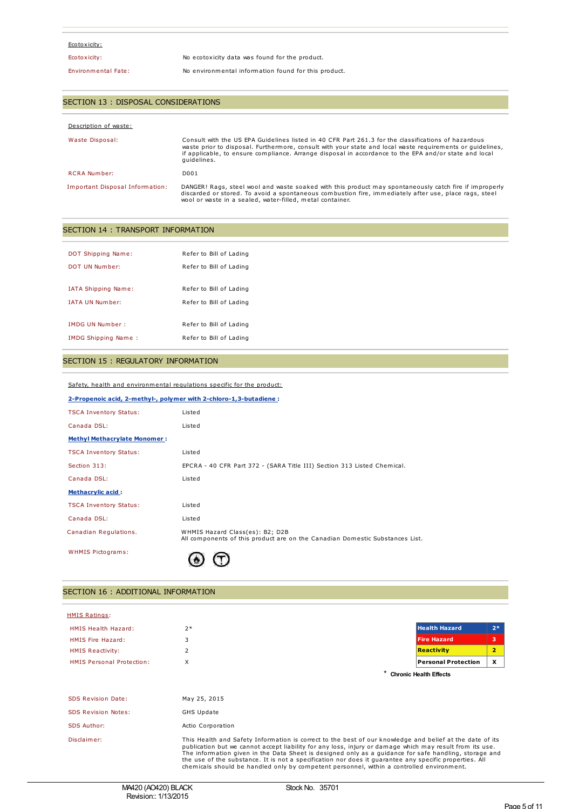## Ecotoxicity:

Ecotoxicity: No ecotoxicity data was found for the product.

### Environmental Fate: No environmental information found for this product.

## SECTION 13 : DISPOSAL CONSIDERATIONS

| Description of waste:           |                                                                                                                                                                                                                                                                                                                                          |
|---------------------------------|------------------------------------------------------------------------------------------------------------------------------------------------------------------------------------------------------------------------------------------------------------------------------------------------------------------------------------------|
| Waste Disposal:                 | Consult with the US EPA Guidelines listed in 40 CFR Part 261.3 for the classifications of hazardous<br>waste prior to disposal. Furthermore, consult with your state and local waste requirements or quidelines,<br>if applicable, to ensure compliance. Arrange disposal in accordance to the EPA and/or state and local<br>quidelines. |
| <b>RCRA Number:</b>             | D <sub>001</sub>                                                                                                                                                                                                                                                                                                                         |
| Important Disposal Information: | DANGER! Rags, steel wool and waste soaked with this product may spontaneously catch fire if improperly<br>discarded or stored. To avoid a spontaneous combustion fire, immediately after use, place rags, steel<br>wool or waste in a sealed, water-filled, metal container.                                                             |

## SECTION 14 : TRANSPORT INFORMATION

| DOT Shipping Name:     | Refer to Bill of Lading |
|------------------------|-------------------------|
| DOT UN Number:         | Refer to Bill of Lading |
|                        |                         |
| IATA Shipping Name:    | Refer to Bill of Lading |
| TATA UN Number:        | Refer to Bill of Lading |
|                        |                         |
| <b>IMDG UN Number:</b> | Refer to Bill of Lading |
| IMDG Shipping Name:    | Refer to Bill of Lading |

### SECTION 15 : REGULATORY INFORMATION

Safety, health and environmental regulations specific for the product:

| 2-Propenoic acid, 2-methyl-, polymer with 2-chloro-1,3-butadiene : |                                                                                                                 |  |
|--------------------------------------------------------------------|-----------------------------------------------------------------------------------------------------------------|--|
| <b>TSCA Inventory Status:</b>                                      | Listed                                                                                                          |  |
| Canada DSL:                                                        | Listed                                                                                                          |  |
| <b>Methyl Methacrylate Monomer:</b>                                |                                                                                                                 |  |
| <b>TSCA Inventory Status:</b>                                      | Listed                                                                                                          |  |
| Section 313:                                                       | EPCRA - 40 CFR Part 372 - (SARA Title III) Section 313 Listed Chemical.                                         |  |
| Canada DSL:                                                        | Listed                                                                                                          |  |
| <b>Methacrylic acid:</b>                                           |                                                                                                                 |  |
| <b>TSCA Inventory Status:</b>                                      | Listed                                                                                                          |  |
| Canada DSL:                                                        | Listed                                                                                                          |  |
| Canadian Regulations.                                              | WHMIS Hazard Class(es): B2; D2B<br>All components of this product are on the Canadian Domestic Substances List. |  |
| <b>WHMIS Pictograms:</b>                                           |                                                                                                                 |  |

## SECTION 16 : ADDITIONAL INFORMATION

| <b>HMIS Ratings:</b>             |                                                                                                                                                                                                                                                                                                                                                                                                                                                                                                                                      |                               |      |
|----------------------------------|--------------------------------------------------------------------------------------------------------------------------------------------------------------------------------------------------------------------------------------------------------------------------------------------------------------------------------------------------------------------------------------------------------------------------------------------------------------------------------------------------------------------------------------|-------------------------------|------|
| HMIS Health Hazard:              | $2*$                                                                                                                                                                                                                                                                                                                                                                                                                                                                                                                                 | <b>Health Hazard</b>          | $2*$ |
| HMIS Fire Hazard:                | 3                                                                                                                                                                                                                                                                                                                                                                                                                                                                                                                                    | <b>Fire Hazard</b>            | з    |
| <b>HMIS Reactivity:</b>          | 2                                                                                                                                                                                                                                                                                                                                                                                                                                                                                                                                    | <b>Reactivity</b>             | 2    |
| <b>HMIS Personal Protection:</b> | X                                                                                                                                                                                                                                                                                                                                                                                                                                                                                                                                    | <b>Personal Protection</b>    | x    |
|                                  |                                                                                                                                                                                                                                                                                                                                                                                                                                                                                                                                      | <b>Chronic Health Effects</b> |      |
|                                  |                                                                                                                                                                                                                                                                                                                                                                                                                                                                                                                                      |                               |      |
| <b>SDS Revision Date:</b>        | May 25, 2015                                                                                                                                                                                                                                                                                                                                                                                                                                                                                                                         |                               |      |
| <b>SDS Revision Notes:</b>       | <b>GHS Update</b>                                                                                                                                                                                                                                                                                                                                                                                                                                                                                                                    |                               |      |
| <b>SDS Author:</b>               | Actio Corporation                                                                                                                                                                                                                                                                                                                                                                                                                                                                                                                    |                               |      |
| Disclaimer:                      | This Health and Safety Information is correct to the best of our knowledge and belief at the date of its<br>publication but we cannot accept liability for any loss, injury or damage which may result from its use.<br>The information given in the Data Sheet is designed only as a guidance for safe handling, storage and<br>the use of the substance. It is not a specification nor does it guarantee any specific properties. All<br>chemicals should be handled only by competent personnel, within a controlled environment. |                               |      |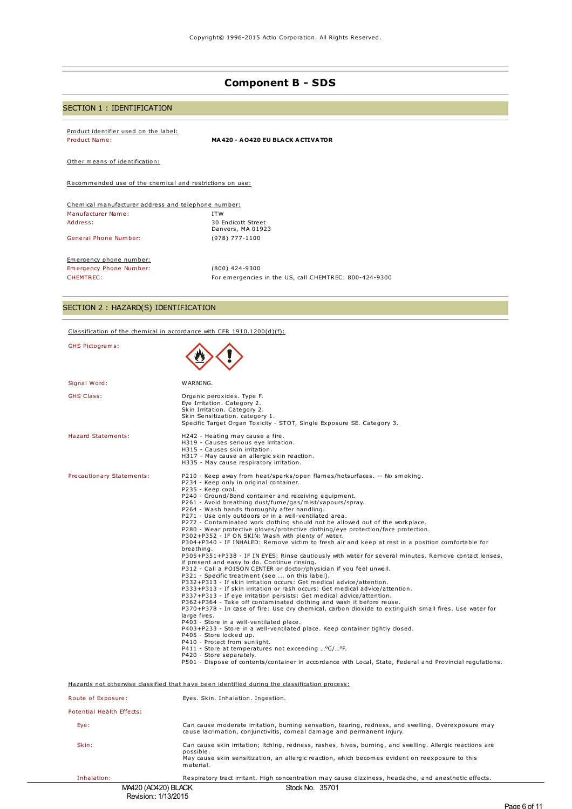# **Component B - SDS**

# SECTION 1 : IDENTIFICATION

Product identifier used on the label:

Product Name: **MA420 - AO420 EU BLACK ACTIVATOR**

Other means of identification:

Recommended use of the chemical and restrictions on use:

| Chemical manufacturer address and telephone number: |                                                        |
|-----------------------------------------------------|--------------------------------------------------------|
| Manufacturer Name:                                  | <b>ITW</b>                                             |
| Address:                                            | 30 Endicott Street<br>Danvers, MA 01923                |
| General Phone Number:                               | (978) 777-1100                                         |
| Emergency phone number:                             |                                                        |
| Emergency Phone Number:                             | (800) 424-9300                                         |
| CHEMTREC:                                           | For emergencies in the US, call CHEMTREC: 800-424-9300 |

# SECTION 2 : HAZARD(S) IDENTIFICATION

### Classification of the chemical in accordance with CFR 1910.1200(d)(f):

| GHS Pictograms:                                                                               |                                                                                                                                                                                                                                                                                                                                                                                                                                                                                                                                                                                                                                                                                                                                                                                                                                                                                                                                                                                                                                                                                                                                                                                                                                                                                                                                                                                                                                                                                                                                                                                                                                                                                                                                                                                                                                     |  |
|-----------------------------------------------------------------------------------------------|-------------------------------------------------------------------------------------------------------------------------------------------------------------------------------------------------------------------------------------------------------------------------------------------------------------------------------------------------------------------------------------------------------------------------------------------------------------------------------------------------------------------------------------------------------------------------------------------------------------------------------------------------------------------------------------------------------------------------------------------------------------------------------------------------------------------------------------------------------------------------------------------------------------------------------------------------------------------------------------------------------------------------------------------------------------------------------------------------------------------------------------------------------------------------------------------------------------------------------------------------------------------------------------------------------------------------------------------------------------------------------------------------------------------------------------------------------------------------------------------------------------------------------------------------------------------------------------------------------------------------------------------------------------------------------------------------------------------------------------------------------------------------------------------------------------------------------------|--|
| Signal Word:                                                                                  | WARNING.                                                                                                                                                                                                                                                                                                                                                                                                                                                                                                                                                                                                                                                                                                                                                                                                                                                                                                                                                                                                                                                                                                                                                                                                                                                                                                                                                                                                                                                                                                                                                                                                                                                                                                                                                                                                                            |  |
| <b>GHS Class:</b>                                                                             | Organic peroxides. Type F.<br>Eye Irritation. Category 2.<br>Skin Irritation. Category 2.<br>Skin Sensitization. category 1.<br>Specific Target Organ Toxicity - STOT, Single Exposure SE. Category 3.                                                                                                                                                                                                                                                                                                                                                                                                                                                                                                                                                                                                                                                                                                                                                                                                                                                                                                                                                                                                                                                                                                                                                                                                                                                                                                                                                                                                                                                                                                                                                                                                                              |  |
| <b>Hazard Statements:</b>                                                                     | H242 - Heating may cause a fire.<br>H319 - Causes serious eye irritation.<br>H315 - Causes skin irritation.<br>H317 - May cause an allergic skin reaction.<br>H335 - May cause respiratory irritation.                                                                                                                                                                                                                                                                                                                                                                                                                                                                                                                                                                                                                                                                                                                                                                                                                                                                                                                                                                                                                                                                                                                                                                                                                                                                                                                                                                                                                                                                                                                                                                                                                              |  |
| Precautionary Statements:                                                                     | P210 - Keep away from heat/sparks/open flames/hotsurfaces. - No smoking.<br>P234 - Keep only in original container.<br>P235 - Keep cool.<br>P240 - Ground/Bond container and receiving equipment.<br>P261 - Avoid breathing dust/fume/gas/mist/vapours/spray.<br>P264 - Wash hands thoroughly after handling.<br>P271 - Use only outdoors or in a well-ventilated area.<br>P272 - Contaminated work clothing should not be allowed out of the workplace.<br>P280 - Wear protective gloves/protective clothing/eye protection/face protection.<br>P302+P352 - IF ON SKIN: Wash with plenty of water.<br>P304+P340 - IF INHALED: Remove victim to fresh air and keep at rest in a position comfortable for<br>breathing.<br>P305+P351+P338 - IF IN EYES: Rinse cautiously with water for several minutes. Remove contact lenses,<br>if present and easy to do. Continue rinsing.<br>P312 - Call a POISON CENTER or doctor/physician if you feel unwell.<br>P321 - Specific treatment (see  on this label).<br>P332+P313 - If skin irritation occurs: Get medical advice/attention.<br>P333+P313 - If skin irritation or rash occurs: Get medical advice/attention.<br>P337+P313 - If eye irritation persists: Get medical advice/attention.<br>P362+P364 - Take off contaminated clothing and wash it before reuse.<br>P370+P378 - In case of fire: Use dry chemical, carbon dioxide to extinguish small fires. Use water for<br>large fires.<br>P403 - Store in a well-ventilated place.<br>P403+P233 - Store in a well-ventilated place. Keep container tightly closed.<br>P405 - Store locked up.<br>P410 - Protect from sunlight.<br>P411 - Store at temperatures not exceeding  °C/ °F.<br>P420 - Store separately.<br>P501 - Dispose of contents/container in accordance with Local, State, Federal and Provincial regulations. |  |
| Hazards not otherwise classified that have been identified during the classification process: |                                                                                                                                                                                                                                                                                                                                                                                                                                                                                                                                                                                                                                                                                                                                                                                                                                                                                                                                                                                                                                                                                                                                                                                                                                                                                                                                                                                                                                                                                                                                                                                                                                                                                                                                                                                                                                     |  |
| Route of Exposure:                                                                            | Eyes. Skin. Inhalation. Ingestion.                                                                                                                                                                                                                                                                                                                                                                                                                                                                                                                                                                                                                                                                                                                                                                                                                                                                                                                                                                                                                                                                                                                                                                                                                                                                                                                                                                                                                                                                                                                                                                                                                                                                                                                                                                                                  |  |
| Potential Health Effects:                                                                     |                                                                                                                                                                                                                                                                                                                                                                                                                                                                                                                                                                                                                                                                                                                                                                                                                                                                                                                                                                                                                                                                                                                                                                                                                                                                                                                                                                                                                                                                                                                                                                                                                                                                                                                                                                                                                                     |  |
| Eye:                                                                                          | Can cause moderate irritation, burning sensation, tearing, redness, and swelling. Overexposure may<br>cause lacrimation, conjunctivitis, corneal damage and permanent injury.                                                                                                                                                                                                                                                                                                                                                                                                                                                                                                                                                                                                                                                                                                                                                                                                                                                                                                                                                                                                                                                                                                                                                                                                                                                                                                                                                                                                                                                                                                                                                                                                                                                       |  |
| Skin:                                                                                         | Can cause skin irritation; itching, redness, rashes, hives, burning, and swelling. Allergic reactions are<br>possible.<br>May cause skin sensitization, an allergic reaction, which becomes evident on reexposure to this<br>material.                                                                                                                                                                                                                                                                                                                                                                                                                                                                                                                                                                                                                                                                                                                                                                                                                                                                                                                                                                                                                                                                                                                                                                                                                                                                                                                                                                                                                                                                                                                                                                                              |  |
| Inhalation:                                                                                   | Respiratory tract irritant. High concentration may cause dizziness, headache, and anesthetic effects.                                                                                                                                                                                                                                                                                                                                                                                                                                                                                                                                                                                                                                                                                                                                                                                                                                                                                                                                                                                                                                                                                                                                                                                                                                                                                                                                                                                                                                                                                                                                                                                                                                                                                                                               |  |
| M4420 (AO420) BLACK                                                                           | Stock No. 35701                                                                                                                                                                                                                                                                                                                                                                                                                                                                                                                                                                                                                                                                                                                                                                                                                                                                                                                                                                                                                                                                                                                                                                                                                                                                                                                                                                                                                                                                                                                                                                                                                                                                                                                                                                                                                     |  |

Revision:: 1/13/2015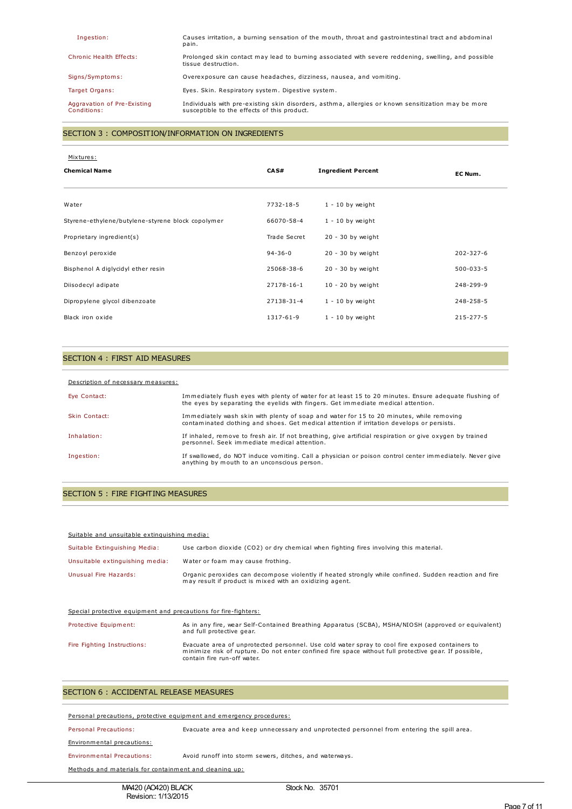| Ingestion:                                 | Causes irritation, a burning sensation of the mouth, throat and gastrointestinal tract and abdominal<br>pain.                                     |
|--------------------------------------------|---------------------------------------------------------------------------------------------------------------------------------------------------|
| Chronic Health Effects:                    | Prolonged skin contact may lead to burning associated with severe reddening, swelling, and possible<br>tissue destruction.                        |
| Signs/Symptoms:                            | Overexposure can cause headaches, dizziness, nausea, and vomiting.                                                                                |
| Target Organs:                             | Eyes. Skin. Respiratory system. Digestive system.                                                                                                 |
| Aggravation of Pre-Existing<br>Conditions: | Individuals with pre-existing skin disorders, asthma, allergies or known sensitization may be more<br>susceptible to the effects of this product. |

## SECTION 3 : COMPOSITION/INFORMATION ON INGREDIENTS

#### Mixtures:

| <b>Chemical Name</b>                              | CAS#          | <b>Ingredient Percent</b> | EC Num.         |
|---------------------------------------------------|---------------|---------------------------|-----------------|
| Water                                             | 7732-18-5     | $1 - 10$ by weight        |                 |
| Styrene-ethylene/butylene-styrene block copolymer | 66070-58-4    | $1 - 10$ by weight        |                 |
| Proprietary ingredient(s)                         | Trade Secret  | $20 - 30$ by weight       |                 |
| Benzoyl peroxide                                  | $94 - 36 - 0$ | $20 - 30$ by weight       | $202 - 327 - 6$ |
| Bisphenol A diglycidyl ether resin                | 25068-38-6    | $20 - 30$ by weight       | $500 - 033 - 5$ |
| Diisodecyl adipate                                | 27178-16-1    | $10 - 20$ by weight       | 248-299-9       |
| Dipropylene glycol dibenzoate                     | 27138-31-4    | $1 - 10$ by weight        | 248-258-5       |
| Black iron oxide                                  | 1317-61-9     | $1 - 10$ by weight        | $215 - 277 - 5$ |

#### SECTION 4 : FIRST AID MEASURES

#### Description of necessary measures:

| Eye Contact:         | Immediately flush eyes with plenty of water for at least 15 to 20 minutes. Ensure adequate flushing of<br>the eyes by separating the eyelids with fingers. Get immediate medical attention. |
|----------------------|---------------------------------------------------------------------------------------------------------------------------------------------------------------------------------------------|
| <b>Skin Contact:</b> | Immediately wash skin with plenty of soap and water for 15 to 20 minutes, while removing<br>contaminated clothing and shoes. Get medical attention if irritation develops or persists.      |
| Inhalation:          | If inhaled, remove to fresh air. If not breathing, give artificial respiration or give oxygen by trained<br>personnel. Seek immediate medical attention.                                    |
| Ingestion:           | If swallowed, do NOT induce vomiting. Call a physician or poison control center immediately. Never give<br>anything by mouth to an unconscious person.                                      |

#### SECTION 5 : FIRE FIGHTING MEASURES

|  | Suitable and unsuitable extinguishing media: |  |
|--|----------------------------------------------|--|
|  |                                              |  |

| Suitable Extinguishing Media:   | Use carbon dioxide (CO2) or dry chemical when fighting fires involving this material.                                                                            |
|---------------------------------|------------------------------------------------------------------------------------------------------------------------------------------------------------------|
| Unsuitable extinguishing media: | Water or foam may cause frothing.                                                                                                                                |
| Unusual Fire Hazards:           | Organic peroxides can decompose violently if heated strongly while confined. Sudden reaction and fire<br>may result if product is mixed with an oxidizing agent. |

#### Special protective equipment and precautions for fire-fighters:

| Protective Equipment:       | As in any fire, wear Self-Contained Breathing Apparatus (SCBA), MSHA/NIOSH (approved or equivalent)<br>and full protective gear.                                                                                                        |
|-----------------------------|-----------------------------------------------------------------------------------------------------------------------------------------------------------------------------------------------------------------------------------------|
| Fire Fighting Instructions: | Evacuate area of unprotected personnel. Use cold water spray to cool fire exposed containers to<br>minimize risk of rupture. Do not enter confined fire space without full protective gear. If possible,<br>contain fire run-off water. |

#### SECTION 6 : ACCIDENTAL RELEASE MEASURES

#### Personal precautions, protective equipment and emergency procedures:

Personal Precautions: Evacuate area and keep unnecessary and unprotected personnel from entering the spill area.

#### Environmental precautions:

Environmental Precautions: Avoid runoff into storm sewers, ditches, and waterways.

Methods and materials for containment and cleaning up: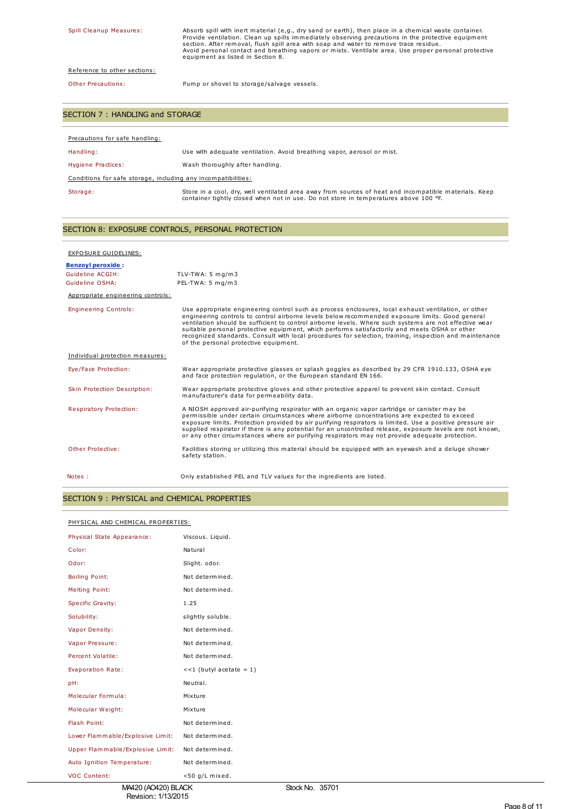Spill Cleanup Measures: Absorb spill with inert material (e,g., dry sand or earth), then place in a chemical waste container.<br>Provide ventilation. Clean up spills immediately observing precautions in the protective equipme

## Reference to other sections:

Other Precautions: Pump or shovel to storage/salvage vessels.

### SECTION 7 : HANDLING and STORAGE

| Precautions for safe handling:                                |                                                                                                                                                                                               |  |  |
|---------------------------------------------------------------|-----------------------------------------------------------------------------------------------------------------------------------------------------------------------------------------------|--|--|
| Handling:                                                     | Use with adequate ventilation. Avoid breathing vapor, aerosol or mist.                                                                                                                        |  |  |
| Hygiene Practices:                                            | Wash thoroughly after handling.                                                                                                                                                               |  |  |
| Conditions for safe storage, including any incompatibilities: |                                                                                                                                                                                               |  |  |
| Storage:                                                      | Store in a cool, dry, well ventilated area away from sources of heat and incompatible materials. Keep<br>container tightly closed when not in use. Do not store in temperatures above 100 °F. |  |  |

### SECTION 8: EXPOSURE CONTROLS, PERSONAL PROTECTION

| EXPOSURE GUIDELINES:              |                                                                                                                                                                                                                                                                                                                                                                                                                                                                                                                                                                       |
|-----------------------------------|-----------------------------------------------------------------------------------------------------------------------------------------------------------------------------------------------------------------------------------------------------------------------------------------------------------------------------------------------------------------------------------------------------------------------------------------------------------------------------------------------------------------------------------------------------------------------|
| <b>Benzoyl peroxide:</b>          |                                                                                                                                                                                                                                                                                                                                                                                                                                                                                                                                                                       |
| Guideline ACGIH:                  | TLV-TWA: $5 \text{ mg/m}$ 3                                                                                                                                                                                                                                                                                                                                                                                                                                                                                                                                           |
| Guideline OSHA:                   | PEL-TWA: 5 mg/m3                                                                                                                                                                                                                                                                                                                                                                                                                                                                                                                                                      |
| Appropriate engineering controls: |                                                                                                                                                                                                                                                                                                                                                                                                                                                                                                                                                                       |
| <b>Engineering Controls:</b>      | Use appropriate engineering control such as process enclosures, local exhaust ventilation, or other<br>engineering controls to control airborne levels below recommended exposure limits. Good general<br>ventilation should be sufficient to control airborne levels. Where such systems are not effective wear<br>suitable personal protective equipment, which performs satisfactorily and meets OSHA or other<br>recognized standards. Consult with local procedures for selection, training, inspection and maintenance<br>of the personal protective equipment. |
| Individual protection measures:   |                                                                                                                                                                                                                                                                                                                                                                                                                                                                                                                                                                       |
| Eye/Face Protection:              | Wear appropriate protective glasses or splash goggles as described by 29 CFR 1910.133, OSHA eye<br>and face protection regulation, or the European standard EN 166.                                                                                                                                                                                                                                                                                                                                                                                                   |
| Skin Protection Description:      | Wear appropriate protective gloves and other protective apparel to prevent skin contact. Consult<br>manufacturer's data for permeability data.                                                                                                                                                                                                                                                                                                                                                                                                                        |
| Respiratory Protection:           | A NIOSH approved air-purifying respirator with an organic vapor cartridge or canister may be<br>permissible under certain circumstances where airborne concentrations are expected to exceed<br>exposure limits. Protection provided by air purifying respirators is limited. Use a positive pressure air<br>supplied respirator if there is any potential for an uncontrolled release, exposure levels are not known,<br>or any other circumstances where air purifying respirators may not provide adequate protection.                                             |
| Other Protective:                 | Facilities storing or utilizing this material should be equipped with an eyewash and a deluge shower<br>safety station.                                                                                                                                                                                                                                                                                                                                                                                                                                               |
| Notes :                           | Only established PEL and TLV values for the ingredients are listed.                                                                                                                                                                                                                                                                                                                                                                                                                                                                                                   |

### SECTION 9 : PHYSICAL and CHEMICAL PROPERTIES

#### PHYSICAL AND CHEMICAL PROPERTIES:

| Physical State Appearance:       | Viscous. Liquid.          |
|----------------------------------|---------------------------|
| Color:                           | Natural                   |
| Odor:                            | Slight. odor.             |
| <b>Boiling Point:</b>            | Not determined.           |
| <b>Melting Point:</b>            | Not determined.           |
| Specific Gravity:                | 1.25                      |
| Solubility:                      | slightly soluble.         |
| Vapor Density:                   | Not determined.           |
| Vapor Pressure:                  | Not determined.           |
| Percent Volatile:                | Not determined.           |
| Evaporation Rate:                | $<<1$ (butyl acetate = 1) |
| pH:                              | Neutral.                  |
| Molecular Formula:               | Mixture                   |
| Molecular Weight:                | Mixture                   |
| Flash Point:                     | Not determined.           |
| Lower Flammable/Explosive Limit: | Not determined.           |
| Upper Flammable/Explosive Limit: | Not determined.           |
| Auto Ignition Temperature:       | Not determined.           |
| <b>VOC Content:</b>              | <50 g/L mixed.            |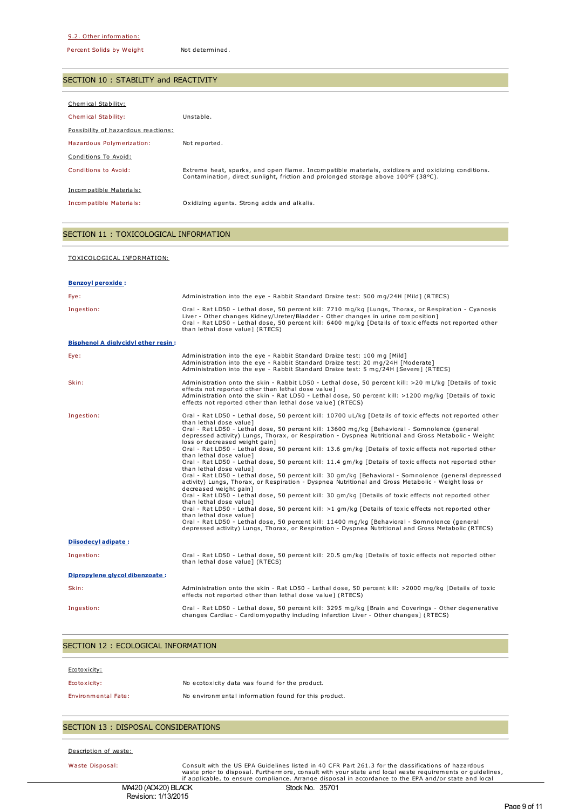Percent Solids by Weight Not determined.

### SECTION 10 : STABILITY and REACTIVITY

| Chemical Stability:                 |                                                                                                                                                                                         |
|-------------------------------------|-----------------------------------------------------------------------------------------------------------------------------------------------------------------------------------------|
| <b>Chemical Stability:</b>          | Unstable.                                                                                                                                                                               |
| Possibility of hazardous reactions: |                                                                                                                                                                                         |
| Hazardous Polymerization:           | Not reported.                                                                                                                                                                           |
| Conditions To Avoid:                |                                                                                                                                                                                         |
| Conditions to Avoid:                | Extreme heat, sparks, and open flame. Incompatible materials, oxidizers and oxidizing conditions.<br>Contamination, direct sunlight, friction and prolonged storage above 100°F (38°C). |
| Incompatible Materials:             |                                                                                                                                                                                         |
| Incompatible Materials:             | Oxidizing agents. Strong acids and alkalis.                                                                                                                                             |
|                                     |                                                                                                                                                                                         |

## SECTION 11 : TOXICOLOGICAL INFORMATION

# TOXICOLOGICAL INFORMATION:

| <b>Benzoyl peroxide:</b>                   |                                                                                                                                                                                                                                                                                                                                                                                                                                                                                                                                                                                                                                                                                                                                                                                                                                                                                                                                                                                                                                                                                                                                                                                                                                                                                                                                                                                    |
|--------------------------------------------|------------------------------------------------------------------------------------------------------------------------------------------------------------------------------------------------------------------------------------------------------------------------------------------------------------------------------------------------------------------------------------------------------------------------------------------------------------------------------------------------------------------------------------------------------------------------------------------------------------------------------------------------------------------------------------------------------------------------------------------------------------------------------------------------------------------------------------------------------------------------------------------------------------------------------------------------------------------------------------------------------------------------------------------------------------------------------------------------------------------------------------------------------------------------------------------------------------------------------------------------------------------------------------------------------------------------------------------------------------------------------------|
| Eye:                                       | Administration into the eye - Rabbit Standard Draize test: 500 mg/24H [Mild] (RTECS)                                                                                                                                                                                                                                                                                                                                                                                                                                                                                                                                                                                                                                                                                                                                                                                                                                                                                                                                                                                                                                                                                                                                                                                                                                                                                               |
| Ingestion:                                 | Oral - Rat LD50 - Lethal dose, 50 percent kill: 7710 mg/kg [Lungs, Thorax, or Respiration - Cyanosis<br>Liver - Other changes Kidney/Ureter/Bladder - Other changes in urine composition]<br>Oral - Rat LD50 - Lethal dose, 50 percent kill: 6400 mg/kg [Details of toxic effects not reported other<br>than lethal dose value] (RTECS)                                                                                                                                                                                                                                                                                                                                                                                                                                                                                                                                                                                                                                                                                                                                                                                                                                                                                                                                                                                                                                            |
| <b>Bisphenol A diglycidyl ether resin:</b> |                                                                                                                                                                                                                                                                                                                                                                                                                                                                                                                                                                                                                                                                                                                                                                                                                                                                                                                                                                                                                                                                                                                                                                                                                                                                                                                                                                                    |
| Eye:                                       | Administration into the eye - Rabbit Standard Draize test: 100 mg [Mild]<br>Administration into the eye - Rabbit Standard Draize test: 20 mg/24H [Moderate]<br>Administration into the eye - Rabbit Standard Draize test: 5 mg/24H [Severe] (RTECS)                                                                                                                                                                                                                                                                                                                                                                                                                                                                                                                                                                                                                                                                                                                                                                                                                                                                                                                                                                                                                                                                                                                                |
| Skin:                                      | Administration onto the skin - Rabbit LD50 - Lethal dose, 50 percent kill: >20 mL/kg [Details of toxic<br>effects not reported other than lethal dose value]<br>Administration onto the skin - Rat LD50 - Lethal dose, 50 percent kill: >1200 mg/kg [Details of toxic<br>effects not reported other than lethal dose value] (RTECS)                                                                                                                                                                                                                                                                                                                                                                                                                                                                                                                                                                                                                                                                                                                                                                                                                                                                                                                                                                                                                                                |
| Ingestion:                                 | Oral - Rat LD50 - Lethal dose, 50 percent kill: 10700 uL/kg [Details of toxic effects not reported other<br>than lethal dose value]<br>Oral - Rat LD50 - Lethal dose, 50 percent kill: 13600 mg/kg [Behavioral - Somnolence (general<br>depressed activity) Lungs, Thorax, or Respiration - Dyspnea Nutritional and Gross Metabolic - Weight<br>loss or decreased weight gain]<br>Oral - Rat LD50 - Lethal dose, 50 percent kill: 13.6 gm/kg [Details of toxic effects not reported other<br>than lethal dose value]<br>Oral - Rat LD50 - Lethal dose, 50 percent kill: 11.4 gm/kg [Details of toxic effects not reported other<br>than lethal dose value]<br>Oral - Rat LD50 - Lethal dose, 50 percent kill: 30 gm/kg [Behavioral - Somnolence (general depressed<br>activity) Lungs, Thorax, or Respiration - Dyspnea Nutritional and Gross Metabolic - Weight loss or<br>decreased weight gain]<br>Oral - Rat LD50 - Lethal dose, 50 percent kill: 30 gm/kg [Details of toxic effects not reported other<br>than lethal dose value]<br>Oral - Rat LD50 - Lethal dose, 50 percent kill: >1 gm/kg [Details of toxic effects not reported other<br>than lethal dose value]<br>Oral - Rat LD50 - Lethal dose, 50 percent kill: 11400 mg/kg [Behavioral - Somnolence (general<br>depressed activity) Lungs, Thorax, or Respiration - Dyspnea Nutritional and Gross Metabolic (RTECS) |
| Diisodecyl adipate:                        |                                                                                                                                                                                                                                                                                                                                                                                                                                                                                                                                                                                                                                                                                                                                                                                                                                                                                                                                                                                                                                                                                                                                                                                                                                                                                                                                                                                    |
| Ingestion:                                 | Oral - Rat LD50 - Lethal dose, 50 percent kill: 20.5 gm/kg [Details of toxic effects not reported other<br>than lethal dose value] (RTECS)                                                                                                                                                                                                                                                                                                                                                                                                                                                                                                                                                                                                                                                                                                                                                                                                                                                                                                                                                                                                                                                                                                                                                                                                                                         |
| Dipropylene glycol dibenzoate:             |                                                                                                                                                                                                                                                                                                                                                                                                                                                                                                                                                                                                                                                                                                                                                                                                                                                                                                                                                                                                                                                                                                                                                                                                                                                                                                                                                                                    |
| Skin:                                      | Administration onto the skin - Rat LD50 - Lethal dose, 50 percent kill: >2000 mg/kg [Details of toxic<br>effects not reported other than lethal dose value] (RTECS)                                                                                                                                                                                                                                                                                                                                                                                                                                                                                                                                                                                                                                                                                                                                                                                                                                                                                                                                                                                                                                                                                                                                                                                                                |
| Ingestion:                                 | Oral - Rat LD50 - Lethal dose, 50 percent kill: 3295 mg/kg [Brain and Coverings - Other degenerative<br>changes Cardiac - Cardiomyopathy including infarction Liver - Other changes] (RTECS)                                                                                                                                                                                                                                                                                                                                                                                                                                                                                                                                                                                                                                                                                                                                                                                                                                                                                                                                                                                                                                                                                                                                                                                       |

## SECTION 12 : ECOLOGICAL INFORMATION

| Ecotoxicity:        |                                                      |
|---------------------|------------------------------------------------------|
| Ecotoxicity:        | No ecotoxicity data was found for the product.       |
| Environmental Fate: | No environmental information found for this product. |

## SECTION 13 : DISPOSAL CONSIDERATIONS

Description of waste:

Waste Disposal: Consult with the US EPA Guidelines listed in 40 CFR Part 261.3 for the classifications of hazardous<br>waste prior to disposal. Furthermore, consult with your state and local waste requirements or guidelines,<br>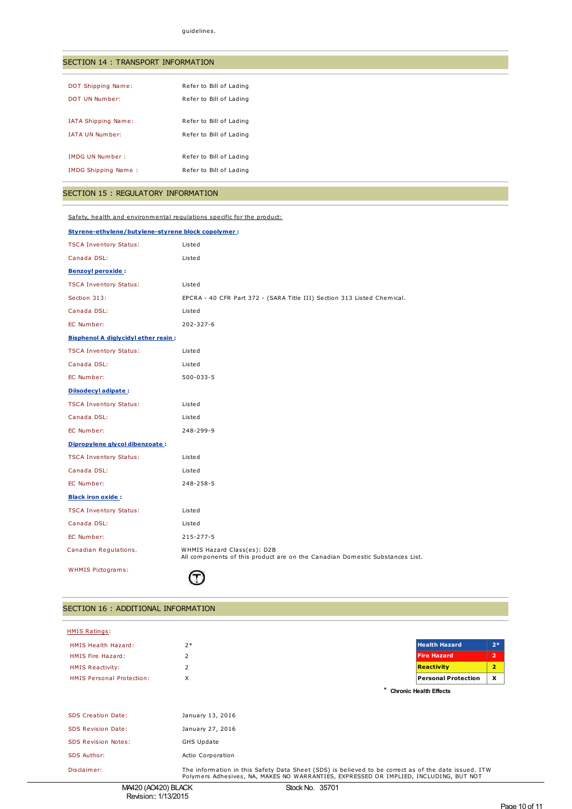## SECTION 14 : TRANSPORT INFORMATION

| DOT Shipping Name:         | Refer to Bill of Lading |
|----------------------------|-------------------------|
| DOT UN Number:             | Refer to Bill of Lading |
|                            |                         |
| <b>IATA Shipping Name:</b> | Refer to Bill of Lading |
|                            |                         |
| <b>IATA UN Number:</b>     | Refer to Bill of Lading |
|                            |                         |
| <b>IMDG UN Number:</b>     | Refer to Bill of Lading |
| <b>IMDG Shipping Name:</b> | Refer to Bill of Lading |
|                            |                         |
|                            |                         |

# SECTION 15 : REGULATORY INFORMATION

Safety, health and environmental regulations specific for the product:

| Styrene-ethylene/butylene-styrene block copolymer: |                                                                                                             |  |  |
|----------------------------------------------------|-------------------------------------------------------------------------------------------------------------|--|--|
| <b>TSCA Inventory Status:</b>                      | Listed                                                                                                      |  |  |
| Canada DSL:                                        | Listed                                                                                                      |  |  |
| <b>Benzoyl peroxide:</b>                           |                                                                                                             |  |  |
| <b>TSCA Inventory Status:</b>                      | Listed                                                                                                      |  |  |
| Section 313:                                       | EPCRA - 40 CFR Part 372 - (SARA Title III) Section 313 Listed Chemical.                                     |  |  |
| Canada DSL:                                        | Listed                                                                                                      |  |  |
| EC Number:                                         | $202 - 327 - 6$                                                                                             |  |  |
| <b>Bisphenol A diglycidyl ether resin:</b>         |                                                                                                             |  |  |
| <b>TSCA Inventory Status:</b>                      | Listed                                                                                                      |  |  |
| Canada DSL:                                        | Listed                                                                                                      |  |  |
| EC Number:                                         | 500-033-5                                                                                                   |  |  |
| Diisodecyl adipate:                                |                                                                                                             |  |  |
| <b>TSCA Inventory Status:</b>                      | Listed                                                                                                      |  |  |
| Canada DSL:                                        | Listed                                                                                                      |  |  |
| EC Number:                                         | 248-299-9                                                                                                   |  |  |
| Dipropylene glycol dibenzoate:                     |                                                                                                             |  |  |
| <b>TSCA Inventory Status:</b>                      | Listed                                                                                                      |  |  |
| Canada DSL:                                        | Listed                                                                                                      |  |  |
| EC Number:                                         | 248-258-5                                                                                                   |  |  |
| <b>Black iron oxide:</b>                           |                                                                                                             |  |  |
| <b>TSCA Inventory Status:</b>                      | Listed                                                                                                      |  |  |
| Canada DSL:                                        | Listed                                                                                                      |  |  |
| EC Number:                                         | 215-277-5                                                                                                   |  |  |
| Canadian Regulations.                              | WHMIS Hazard Class(es): D2B<br>All components of this product are on the Canadian Domestic Substances List. |  |  |
| <b>WHMIS Pictograms:</b>                           |                                                                                                             |  |  |

## SECTION 16 : ADDITIONAL INFORMATION

| <b>HMIS Ratings:</b>             |                                                                                                                                                                                               |                            |                |
|----------------------------------|-----------------------------------------------------------------------------------------------------------------------------------------------------------------------------------------------|----------------------------|----------------|
| <b>HMIS Health Hazard:</b>       | $2*$                                                                                                                                                                                          | <b>Health Hazard</b>       | $2*$           |
| HMIS Fire Hazard:                | $\overline{2}$                                                                                                                                                                                | <b>Fire Hazard</b>         | $\overline{2}$ |
| <b>HMIS Reactivity:</b>          | 2                                                                                                                                                                                             | <b>Reactivity</b>          | $\overline{2}$ |
| <b>HMIS Personal Protection:</b> | X                                                                                                                                                                                             | <b>Personal Protection</b> | X              |
|                                  | <b>Chronic Health Effects</b>                                                                                                                                                                 |                            |                |
|                                  |                                                                                                                                                                                               |                            |                |
| <b>SDS Creation Date:</b>        | January 13, 2016                                                                                                                                                                              |                            |                |
| <b>SDS Revision Date:</b>        | January 27, 2016                                                                                                                                                                              |                            |                |
| <b>SDS Revision Notes:</b>       | GHS Update                                                                                                                                                                                    |                            |                |
| <b>SDS Author:</b>               | Actio Corporation                                                                                                                                                                             |                            |                |
| Disclaimer:                      | The information in this Safety Data Sheet (SDS) is believed to be correct as of the date issued. ITW<br>Polymers Adhesives, NA, MAKES NO WARRANTIES, EXPRESSED OR IMPLIED, INCLUDING, BUT NOT |                            |                |